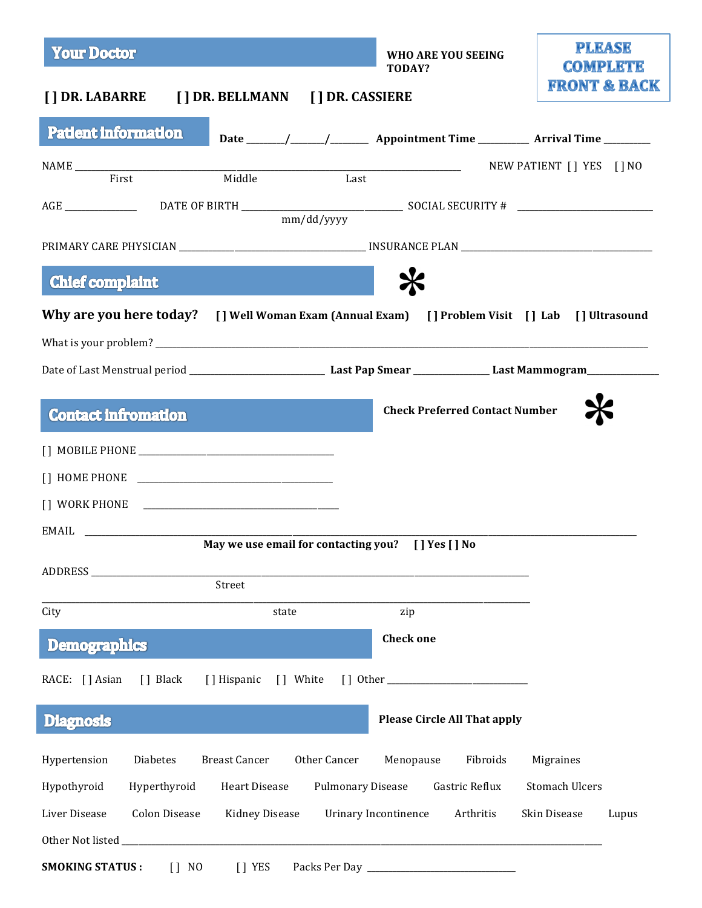| <b>Your Doctor</b>                                                                             | WHO ARE YOU SEEING<br>TODAY?                                                        | <b>PLEASE</b><br><b>COMPLETE</b> |
|------------------------------------------------------------------------------------------------|-------------------------------------------------------------------------------------|----------------------------------|
| [] DR. LABARRE [] DR. BELLMANN [] DR. CASSIERE                                                 |                                                                                     | <b>FRONT &amp; BACK</b>          |
| <b>Patient information</b>                                                                     | Date ______/_____/____________ Appointment Time ____________ Arrival Time _________ |                                  |
| Last                                                                                           |                                                                                     | NEW PATIENT [] YES [] NO         |
|                                                                                                |                                                                                     |                                  |
| mm/dd/yyyy                                                                                     |                                                                                     |                                  |
|                                                                                                |                                                                                     |                                  |
| <b>Chief complaint</b>                                                                         |                                                                                     |                                  |
| Why are you here today? [] Well Woman Exam (Annual Exam) [] Problem Visit [] Lab [] Ultrasound |                                                                                     |                                  |
|                                                                                                |                                                                                     |                                  |
|                                                                                                |                                                                                     |                                  |
| <b>Contact Infromation</b>                                                                     | <b>Check Preferred Contact Number</b>                                               |                                  |
|                                                                                                |                                                                                     |                                  |
|                                                                                                |                                                                                     |                                  |
|                                                                                                |                                                                                     |                                  |
| <b>EMAIL</b>                                                                                   |                                                                                     |                                  |
| May we use email for contacting you? [] Yes [] No                                              |                                                                                     |                                  |
| ADDRESS<br>Street                                                                              |                                                                                     |                                  |
| City<br>state                                                                                  | zip                                                                                 |                                  |
| <b>Demographics</b>                                                                            | <b>Check one</b>                                                                    |                                  |
| [] Black<br>[] Hispanic<br>[] White<br>RACE: [] Asian                                          |                                                                                     |                                  |
| <b>Diagnosis</b>                                                                               | <b>Please Circle All That apply</b>                                                 |                                  |
| Other Cancer<br>Hypertension<br>Diabetes<br><b>Breast Cancer</b>                               | Fibroids<br>Menopause                                                               | Migraines                        |
| Hypothyroid<br>Hyperthyroid<br><b>Heart Disease</b><br><b>Pulmonary Disease</b>                | Gastric Reflux                                                                      | <b>Stomach Ulcers</b>            |
| <b>Colon Disease</b><br>Liver Disease<br><b>Kidney Disease</b>                                 | Urinary Incontinence<br>Arthritis                                                   | Skin Disease<br>Lupus            |
| Other Not listed_                                                                              |                                                                                     |                                  |
| <b>SMOKING STATUS:</b><br>$[]$ NO<br>[] YES                                                    |                                                                                     |                                  |